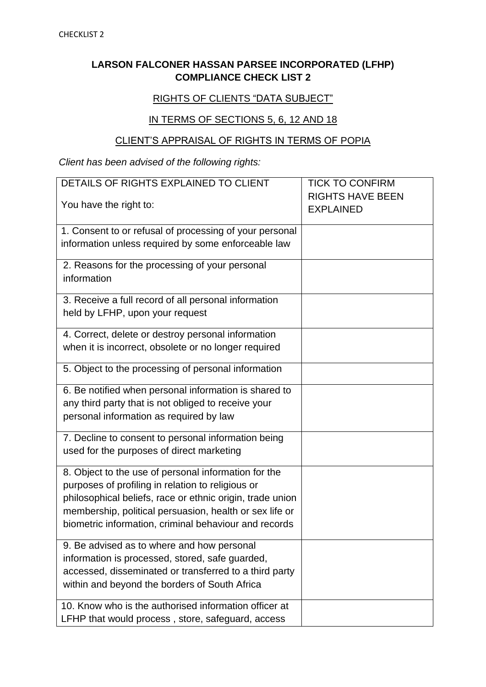## **LARSON FALCONER HASSAN PARSEE INCORPORATED (LFHP) COMPLIANCE CHECK LIST 2**

## RIGHTS OF CLIENTS "DATA SUBJECT"

## IN TERMS OF SECTIONS 5, 6, 12 AND 18

## CLIENT'S APPRAISAL OF RIGHTS IN TERMS OF POPIA

*Client has been advised of the following rights:* 

| DETAILS OF RIGHTS EXPLAINED TO CLIENT                                                   | <b>TICK TO CONFIRM</b>                      |
|-----------------------------------------------------------------------------------------|---------------------------------------------|
| You have the right to:                                                                  | <b>RIGHTS HAVE BEEN</b><br><b>EXPLAINED</b> |
| 1. Consent to or refusal of processing of your personal                                 |                                             |
| information unless required by some enforceable law                                     |                                             |
| 2. Reasons for the processing of your personal<br>information                           |                                             |
|                                                                                         |                                             |
| 3. Receive a full record of all personal information<br>held by LFHP, upon your request |                                             |
| 4. Correct, delete or destroy personal information                                      |                                             |
| when it is incorrect, obsolete or no longer required                                    |                                             |
| 5. Object to the processing of personal information                                     |                                             |
| 6. Be notified when personal information is shared to                                   |                                             |
| any third party that is not obliged to receive your                                     |                                             |
| personal information as required by law                                                 |                                             |
| 7. Decline to consent to personal information being                                     |                                             |
| used for the purposes of direct marketing                                               |                                             |
| 8. Object to the use of personal information for the                                    |                                             |
| purposes of profiling in relation to religious or                                       |                                             |
| philosophical beliefs, race or ethnic origin, trade union                               |                                             |
| membership, political persuasion, health or sex life or                                 |                                             |
| biometric information, criminal behaviour and records                                   |                                             |
| 9. Be advised as to where and how personal                                              |                                             |
| information is processed, stored, safe guarded,                                         |                                             |
| accessed, disseminated or transferred to a third party                                  |                                             |
| within and beyond the borders of South Africa                                           |                                             |
| 10. Know who is the authorised information officer at                                   |                                             |
| LFHP that would process, store, safeguard, access                                       |                                             |